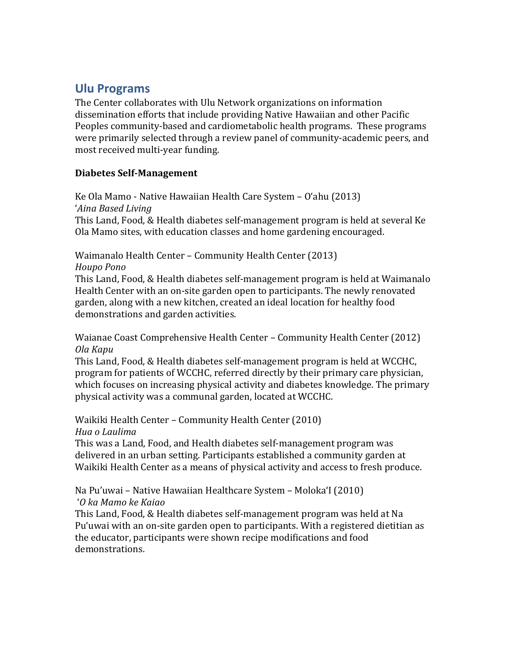# **Ulu Programs**

The Center collaborates with Ulu Network organizations on information dissemination efforts that include providing Native Hawaiian and other Pacific Peoples community-based and cardiometabolic health programs. These programs were primarily selected through a review panel of community-academic peers, and most received multi-year funding.

## **Diabetes Self-Management**

Ke Ola Mamo - Native Hawaiian Health Care System – O'ahu (2013) '*Aina Based Living* This Land, Food, & Health diabetes self-management program is held at several Ke Ola Mamo sites, with education classes and home gardening encouraged.

Waimanalo Health Center – Community Health Center (2013) *Houpo Pono*

This Land, Food, & Health diabetes self-management program is held at Waimanalo Health Center with an on-site garden open to participants. The newly renovated garden, along with a new kitchen, created an ideal location for healthy food demonstrations and garden activities.

Waianae Coast Comprehensive Health Center – Community Health Center (2012) *Ola Kapu*

This Land, Food, & Health diabetes self-management program is held at WCCHC, program for patients of WCCHC, referred directly by their primary care physician, which focuses on increasing physical activity and diabetes knowledge. The primary physical activity was a communal garden, located at WCCHC.

Waikiki Health Center – Community Health Center (2010) *Hua o Laulima*

This was a Land, Food, and Health diabetes self-management program was delivered in an urban setting. Participants established a community garden at Waikiki Health Center as a means of physical activity and access to fresh produce.

Na Pu'uwai – Native Hawaiian Healthcare System – Moloka'I (2010)

## '*O ka Mamo ke Kaiao*

This Land, Food, & Health diabetes self-management program was held at Na Pu'uwai with an on-site garden open to participants. With a registered dietitian as the educator, participants were shown recipe modifications and food demonstrations.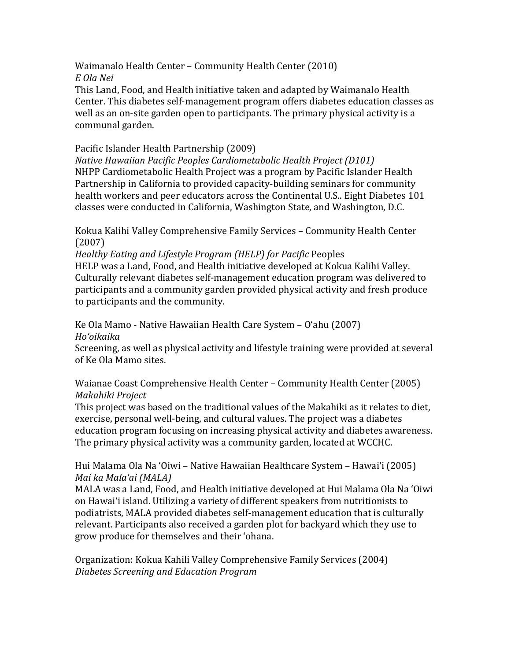Waimanalo Health Center – Community Health Center (2010) *E Ola Nei*

This Land, Food, and Health initiative taken and adapted by Waimanalo Health Center. This diabetes self-management program offers diabetes education classes as well as an on-site garden open to participants. The primary physical activity is a communal garden.

## Pacific Islander Health Partnership (2009)

*Native Hawaiian Pacific Peoples Cardiometabolic Health Project (D101)* NHPP Cardiometabolic Health Project was a program by Pacific Islander Health Partnership in California to provided capacity-building seminars for community health workers and peer educators across the Continental U.S.. Eight Diabetes 101 classes were conducted in California, Washington State, and Washington, D.C.

Kokua Kalihi Valley Comprehensive Family Services – Community Health Center (2007)

*Healthy Eating and Lifestyle Program (HELP) for Pacific* Peoples HELP was a Land, Food, and Health initiative developed at Kokua Kalihi Valley. Culturally relevant diabetes self-management education program was delivered to participants and a community garden provided physical activity and fresh produce to participants and the community.

Ke Ola Mamo - Native Hawaiian Health Care System – O'ahu (2007) *Ho'oikaika*

Screening, as well as physical activity and lifestyle training were provided at several of Ke Ola Mamo sites.

Waianae Coast Comprehensive Health Center – Community Health Center (2005) *Makahiki Project*

This project was based on the traditional values of the Makahiki as it relates to diet, exercise, personal well-being, and cultural values. The project was a diabetes education program focusing on increasing physical activity and diabetes awareness. The primary physical activity was a community garden, located at WCCHC.

Hui Malama Ola Na 'Oiwi – Native Hawaiian Healthcare System – Hawai'i (2005) *Mai ka Mala'ai (MALA)*

MALA was a Land, Food, and Health initiative developed at Hui Malama Ola Na 'Oiwi on Hawai'i island. Utilizing a variety of different speakers from nutritionists to podiatrists, MALA provided diabetes self-management education that is culturally relevant. Participants also received a garden plot for backyard which they use to grow produce for themselves and their 'ohana.

Organization: Kokua Kahili Valley Comprehensive Family Services (2004) *Diabetes Screening and Education Program*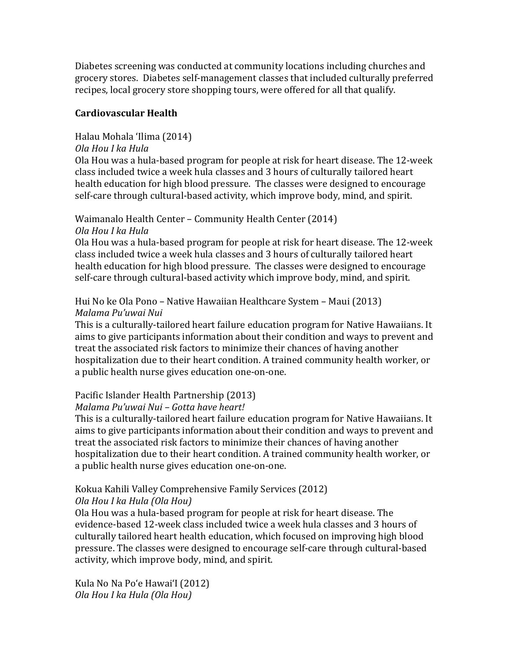Diabetes screening was conducted at community locations including churches and grocery stores. Diabetes self-management classes that included culturally preferred recipes, local grocery store shopping tours, were offered for all that qualify.

## **Cardiovascular Health**

## Halau Mohala 'Ilima (2014)

## *Ola Hou I ka Hula*

Ola Hou was a hula-based program for people at risk for heart disease. The 12-week class included twice a week hula classes and 3 hours of culturally tailored heart health education for high blood pressure. The classes were designed to encourage self-care through cultural-based activity, which improve body, mind, and spirit.

# Waimanalo Health Center – Community Health Center (2014)

#### *Ola Hou I ka Hula*

Ola Hou was a hula-based program for people at risk for heart disease. The 12-week class included twice a week hula classes and 3 hours of culturally tailored heart health education for high blood pressure. The classes were designed to encourage self-care through cultural-based activity which improve body, mind, and spirit.

## Hui No ke Ola Pono – Native Hawaiian Healthcare System – Maui (2013) *Malama Pu'uwai Nui*

This is a culturally-tailored heart failure education program for Native Hawaiians. It aims to give participants information about their condition and ways to prevent and treat the associated risk factors to minimize their chances of having another hospitalization due to their heart condition. A trained community health worker, or a public health nurse gives education one-on-one.

## Pacific Islander Health Partnership (2013)

## *Malama Pu'uwai Nui – Gotta have heart!*

This is a culturally-tailored heart failure education program for Native Hawaiians. It aims to give participants information about their condition and ways to prevent and treat the associated risk factors to minimize their chances of having another hospitalization due to their heart condition. A trained community health worker, or a public health nurse gives education one-on-one.

## Kokua Kahili Valley Comprehensive Family Services (2012)

## *Ola Hou I ka Hula (Ola Hou)*

Ola Hou was a hula-based program for people at risk for heart disease. The evidence-based 12-week class included twice a week hula classes and 3 hours of culturally tailored heart health education, which focused on improving high blood pressure. The classes were designed to encourage self-care through cultural-based activity, which improve body, mind, and spirit.

Kula No Na Po'e Hawai'I (2012) *Ola Hou I ka Hula (Ola Hou)*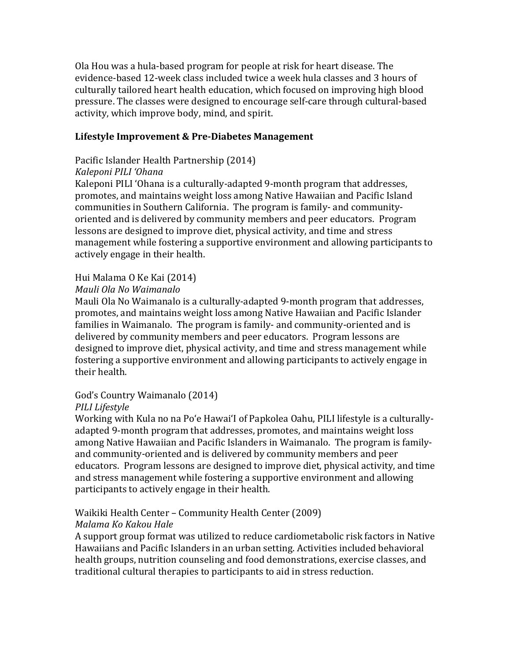Ola Hou was a hula-based program for people at risk for heart disease. The evidence-based 12-week class included twice a week hula classes and 3 hours of culturally tailored heart health education, which focused on improving high blood pressure. The classes were designed to encourage self-care through cultural-based activity, which improve body, mind, and spirit.

## **Lifestyle Improvement & Pre-Diabetes Management**

#### Pacific Islander Health Partnership (2014)

#### *Kaleponi PILI 'Ohana*

Kaleponi PILI 'Ohana is a culturally-adapted 9-month program that addresses, promotes, and maintains weight loss among Native Hawaiian and Pacific Island communities in Southern California. The program is family- and communityoriented and is delivered by community members and peer educators. Program lessons are designed to improve diet, physical activity, and time and stress management while fostering a supportive environment and allowing participants to actively engage in their health.

## Hui Malama O Ke Kai (2014)

#### *Mauli Ola No Waimanalo*

Mauli Ola No Waimanalo is a culturally-adapted 9-month program that addresses, promotes, and maintains weight loss among Native Hawaiian and Pacific Islander families in Waimanalo. The program is family- and community-oriented and is delivered by community members and peer educators. Program lessons are designed to improve diet, physical activity, and time and stress management while fostering a supportive environment and allowing participants to actively engage in their health.

## God's Country Waimanalo (2014)

#### *PILI Lifestyle*

Working with Kula no na Po'e Hawai'I of Papkolea Oahu, PILI lifestyle is a culturallyadapted 9-month program that addresses, promotes, and maintains weight loss among Native Hawaiian and Pacific Islanders in Waimanalo. The program is familyand community-oriented and is delivered by community members and peer educators. Program lessons are designed to improve diet, physical activity, and time and stress management while fostering a supportive environment and allowing participants to actively engage in their health.

#### Waikiki Health Center – Community Health Center (2009) *Malama Ko Kakou Hale*

A support group format was utilized to reduce cardiometabolic risk factors in Native Hawaiians and Pacific Islanders in an urban setting. Activities included behavioral health groups, nutrition counseling and food demonstrations, exercise classes, and traditional cultural therapies to participants to aid in stress reduction.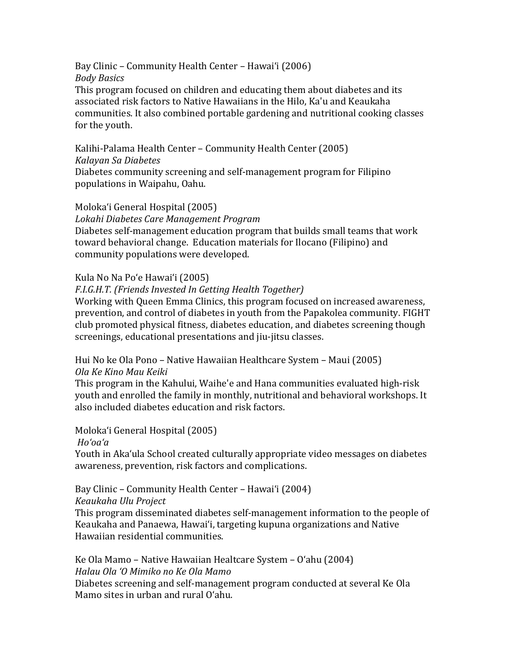Bay Clinic – Community Health Center – Hawai'i (2006) *Body Basics* This program focused on children and educating them about diabetes and its associated risk factors to Native Hawaiians in the Hilo, Ka'u and Keaukaha communities. It also combined portable gardening and nutritional cooking classes for the youth.

Kalihi-Palama Health Center – Community Health Center (2005) *Kalayan Sa Diabetes* Diabetes community screening and self-management program for Filipino

populations in Waipahu, Oahu.

#### Moloka'i General Hospital (2005)

*Lokahi Diabetes Care Management Program*

Diabetes self-management education program that builds small teams that work toward behavioral change. Education materials for Ilocano (Filipino) and community populations were developed.

#### Kula No Na Po'e Hawai'i (2005)

#### *F.I.G.H.T. (Friends Invested In Getting Health Together)*

Working with Queen Emma Clinics, this program focused on increased awareness, prevention, and control of diabetes in youth from the Papakolea community. FIGHT club promoted physical fitness, diabetes education, and diabetes screening though screenings, educational presentations and jiu-jitsu classes.

Hui No ke Ola Pono – Native Hawaiian Healthcare System – Maui (2005) *Ola Ke Kino Mau Keiki*

This program in the Kahului, Waihe'e and Hana communities evaluated high-risk youth and enrolled the family in monthly, nutritional and behavioral workshops. It also included diabetes education and risk factors.

Moloka'i General Hospital (2005)

*Ho'oa'a*

Youth in Aka'ula School created culturally appropriate video messages on diabetes awareness, prevention, risk factors and complications.

Bay Clinic – Community Health Center – Hawai'i (2004)

*Keaukaha Ulu Project* 

This program disseminated diabetes self-management information to the people of Keaukaha and Panaewa, Hawai'i, targeting kupuna organizations and Native Hawaiian residential communities.

Ke Ola Mamo – Native Hawaiian Healtcare System – O'ahu (2004) *Halau Ola 'O Mimiko no Ke Ola Mamo* Diabetes screening and self-management program conducted at several Ke Ola Mamo sites in urban and rural O'ahu.